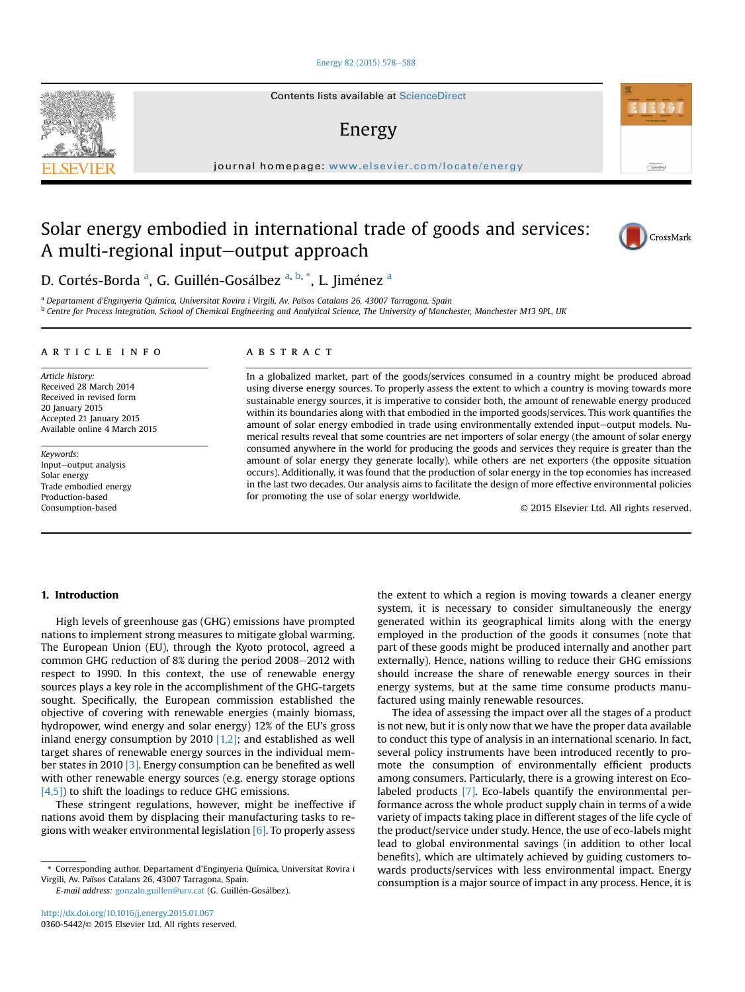#### [Energy 82 \(2015\) 578](http://dx.doi.org/10.1016/j.energy.2015.01.067)-[588](http://dx.doi.org/10.1016/j.energy.2015.01.067)

Contents lists available at ScienceDirect

# Energy

journal homepage: [www.elsevier.com/locate/energy](http://www.elsevier.com/locate/energy)

# Solar energy embodied in international trade of goods and services: A multi-regional input-output approach



Automotive at<br>ScienceDire

D. Cortés-Borda <sup>a</sup>, G. Guillén-Gosálbez <sup>a, b, \*</sup>, L. Jiménez <sup>a</sup>

<sup>a</sup> Departament d'Enginyeria Química, Universitat Rovira i Virgili, Av. Països Catalans 26, 43007 Tarragona, Spain <sup>b</sup> Centre for Process Integration, School of Chemical Engineering and Analytical Science, The University of Manchester, Manchester M13 9PL, UK

#### article info

Article history: Received 28 March 2014 Received in revised form 20 January 2015 Accepted 21 January 2015 Available online 4 March 2015

Keywords: Input-output analysis Solar energy Trade embodied energy Production-based Consumption-based

## ABSTRACT

In a globalized market, part of the goods/services consumed in a country might be produced abroad using diverse energy sources. To properly assess the extent to which a country is moving towards more sustainable energy sources, it is imperative to consider both, the amount of renewable energy produced within its boundaries along with that embodied in the imported goods/services. This work quantifies the amount of solar energy embodied in trade using environmentally extended input-output models. Numerical results reveal that some countries are net importers of solar energy (the amount of solar energy consumed anywhere in the world for producing the goods and services they require is greater than the amount of solar energy they generate locally), while others are net exporters (the opposite situation occurs). Additionally, it was found that the production of solar energy in the top economies has increased in the last two decades. Our analysis aims to facilitate the design of more effective environmental policies for promoting the use of solar energy worldwide.

© 2015 Elsevier Ltd. All rights reserved.

## 1. Introduction

High levels of greenhouse gas (GHG) emissions have prompted nations to implement strong measures to mitigate global warming. The European Union (EU), through the Kyoto protocol, agreed a common GHG reduction of 8% during the period 2008-2012 with respect to 1990. In this context, the use of renewable energy sources plays a key role in the accomplishment of the GHG-targets sought. Specifically, the European commission established the objective of covering with renewable energies (mainly biomass, hydropower, wind energy and solar energy) 12% of the EU's gross inland energy consumption by 2010  $[1,2]$ ; and established as well target shares of renewable energy sources in the individual member states in 2010 [3]. Energy consumption can be benefited as well with other renewable energy sources (e.g. energy storage options [4,5]) to shift the loadings to reduce GHG emissions.

These stringent regulations, however, might be ineffective if nations avoid them by displacing their manufacturing tasks to regions with weaker environmental legislation  $[6]$ . To properly assess

\* Corresponding author. Departament d'Enginyeria Química, Universitat Rovira i Virgili, Av. Països Catalans 26, 43007 Tarragona, Spain.

E-mail address: [gonzalo.guillen@urv.cat](mailto:gonzalo.guillen@urv.cat) (G. Guillén-Gosálbez).

the extent to which a region is moving towards a cleaner energy system, it is necessary to consider simultaneously the energy generated within its geographical limits along with the energy employed in the production of the goods it consumes (note that part of these goods might be produced internally and another part externally). Hence, nations willing to reduce their GHG emissions should increase the share of renewable energy sources in their energy systems, but at the same time consume products manufactured using mainly renewable resources.

The idea of assessing the impact over all the stages of a product is not new, but it is only now that we have the proper data available to conduct this type of analysis in an international scenario. In fact, several policy instruments have been introduced recently to promote the consumption of environmentally efficient products among consumers. Particularly, there is a growing interest on Ecolabeled products [7]. Eco-labels quantify the environmental performance across the whole product supply chain in terms of a wide variety of impacts taking place in different stages of the life cycle of the product/service under study. Hence, the use of eco-labels might lead to global environmental savings (in addition to other local benefits), which are ultimately achieved by guiding customers towards products/services with less environmental impact. Energy consumption is a major source of impact in any process. Hence, it is

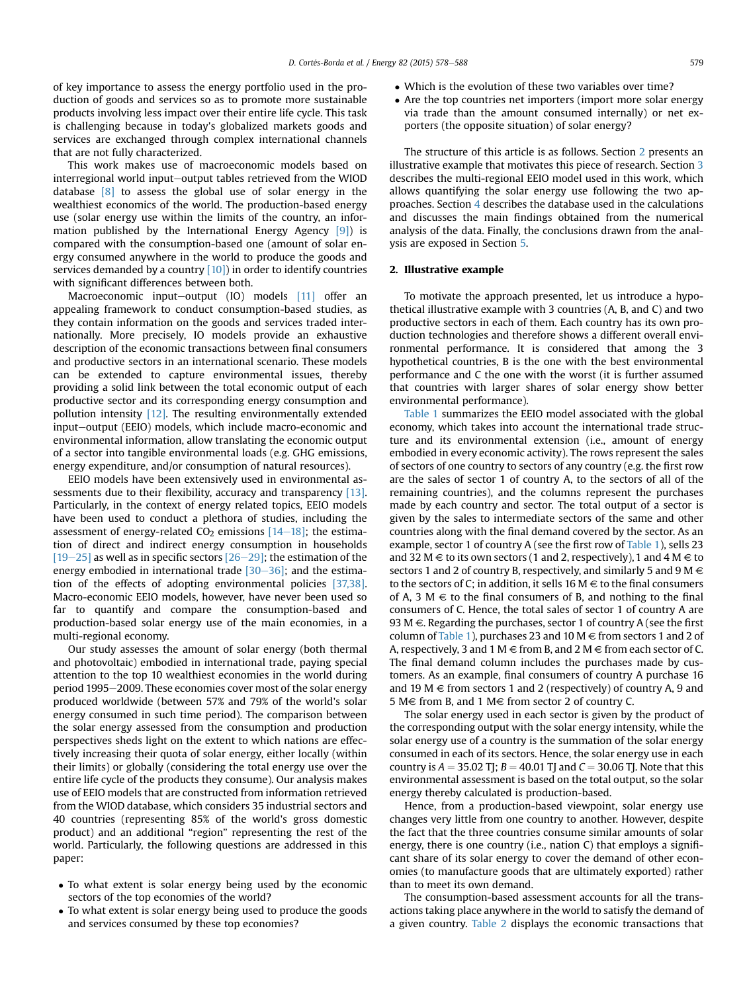of key importance to assess the energy portfolio used in the production of goods and services so as to promote more sustainable products involving less impact over their entire life cycle. This task is challenging because in today's globalized markets goods and services are exchanged through complex international channels that are not fully characterized.

This work makes use of macroeconomic models based on interregional world input-output tables retrieved from the WIOD database  $\begin{bmatrix} 8 \\ 0 \end{bmatrix}$  to assess the global use of solar energy in the wealthiest economics of the world. The production-based energy use (solar energy use within the limits of the country, an information published by the International Energy Agency [9]) is compared with the consumption-based one (amount of solar energy consumed anywhere in the world to produce the goods and services demanded by a country  $[10]$  in order to identify countries with significant differences between both.

Macroeconomic input-output (IO) models  $[11]$  offer an appealing framework to conduct consumption-based studies, as they contain information on the goods and services traded internationally. More precisely, IO models provide an exhaustive description of the economic transactions between final consumers and productive sectors in an international scenario. These models can be extended to capture environmental issues, thereby providing a solid link between the total economic output of each productive sector and its corresponding energy consumption and pollution intensity [12]. The resulting environmentally extended input-output (EEIO) models, which include macro-economic and environmental information, allow translating the economic output of a sector into tangible environmental loads (e.g. GHG emissions, energy expenditure, and/or consumption of natural resources).

EEIO models have been extensively used in environmental assessments due to their flexibility, accuracy and transparency [13]. Particularly, in the context of energy related topics, EEIO models have been used to conduct a plethora of studies, including the assessment of energy-related  $CO<sub>2</sub>$  emissions [14–18]; the estimation of direct and indirect energy consumption in households  $[19–25]$  as well as in specific sectors  $[26–29]$ ; the estimation of the energy embodied in international trade  $[30-36]$ ; and the estimation of the effects of adopting environmental policies [37,38]. Macro-economic EEIO models, however, have never been used so far to quantify and compare the consumption-based and production-based solar energy use of the main economies, in a multi-regional economy.

Our study assesses the amount of solar energy (both thermal and photovoltaic) embodied in international trade, paying special attention to the top 10 wealthiest economies in the world during period 1995-2009. These economies cover most of the solar energy produced worldwide (between 57% and 79% of the world's solar energy consumed in such time period). The comparison between the solar energy assessed from the consumption and production perspectives sheds light on the extent to which nations are effectively increasing their quota of solar energy, either locally (within their limits) or globally (considering the total energy use over the entire life cycle of the products they consume). Our analysis makes use of EEIO models that are constructed from information retrieved from the WIOD database, which considers 35 industrial sectors and 40 countries (representing 85% of the world's gross domestic product) and an additional "region" representing the rest of the world. Particularly, the following questions are addressed in this paper:

- To what extent is solar energy being used by the economic sectors of the top economies of the world?
- To what extent is solar energy being used to produce the goods and services consumed by these top economies?
- Which is the evolution of these two variables over time?
- Are the top countries net importers (import more solar energy via trade than the amount consumed internally) or net exporters (the opposite situation) of solar energy?

The structure of this article is as follows. Section 2 presents an illustrative example that motivates this piece of research. Section 3 describes the multi-regional EEIO model used in this work, which allows quantifying the solar energy use following the two approaches. Section 4 describes the database used in the calculations and discusses the main findings obtained from the numerical analysis of the data. Finally, the conclusions drawn from the analysis are exposed in Section 5.

### 2. Illustrative example

To motivate the approach presented, let us introduce a hypothetical illustrative example with 3 countries (A, B, and C) and two productive sectors in each of them. Each country has its own production technologies and therefore shows a different overall environmental performance. It is considered that among the 3 hypothetical countries, B is the one with the best environmental performance and C the one with the worst (it is further assumed that countries with larger shares of solar energy show better environmental performance).

Table 1 summarizes the EEIO model associated with the global economy, which takes into account the international trade structure and its environmental extension (i.e., amount of energy embodied in every economic activity). The rows represent the sales of sectors of one country to sectors of any country (e.g. the first row are the sales of sector 1 of country A, to the sectors of all of the remaining countries), and the columns represent the purchases made by each country and sector. The total output of a sector is given by the sales to intermediate sectors of the same and other countries along with the final demand covered by the sector. As an example, sector 1 of country A (see the first row of Table 1), sells 23 and 32 M  $\in$  to its own sectors (1 and 2, respectively), 1 and 4 M  $\in$  to sectors 1 and 2 of country B, respectively, and similarly 5 and 9 M  $\in$ to the sectors of C; in addition, it sells 16 M  $\in$  to the final consumers of A, 3  $M \in$  to the final consumers of B, and nothing to the final consumers of C. Hence, the total sales of sector 1 of country A are 93 M  $\in$ . Regarding the purchases, sector 1 of country A (see the first column of Table 1), purchases 23 and 10 M  $\in$  from sectors 1 and 2 of A, respectively, 3 and 1 M  $\in$  from B, and 2 M  $\in$  from each sector of C. The final demand column includes the purchases made by customers. As an example, final consumers of country A purchase 16 and 19 M  $\in$  from sectors 1 and 2 (respectively) of country A, 9 and 5 M $\in$  from B, and 1 M $\in$  from sector 2 of country C.

The solar energy used in each sector is given by the product of the corresponding output with the solar energy intensity, while the solar energy use of a country is the summation of the solar energy consumed in each of its sectors. Hence, the solar energy use in each country is  $A = 35.02$  TJ;  $B = 40.01$  TJ and  $C = 30.06$  TJ. Note that this environmental assessment is based on the total output, so the solar energy thereby calculated is production-based.

Hence, from a production-based viewpoint, solar energy use changes very little from one country to another. However, despite the fact that the three countries consume similar amounts of solar energy, there is one country (i.e., nation C) that employs a significant share of its solar energy to cover the demand of other economies (to manufacture goods that are ultimately exported) rather than to meet its own demand.

The consumption-based assessment accounts for all the transactions taking place anywhere in the world to satisfy the demand of a given country. Table 2 displays the economic transactions that